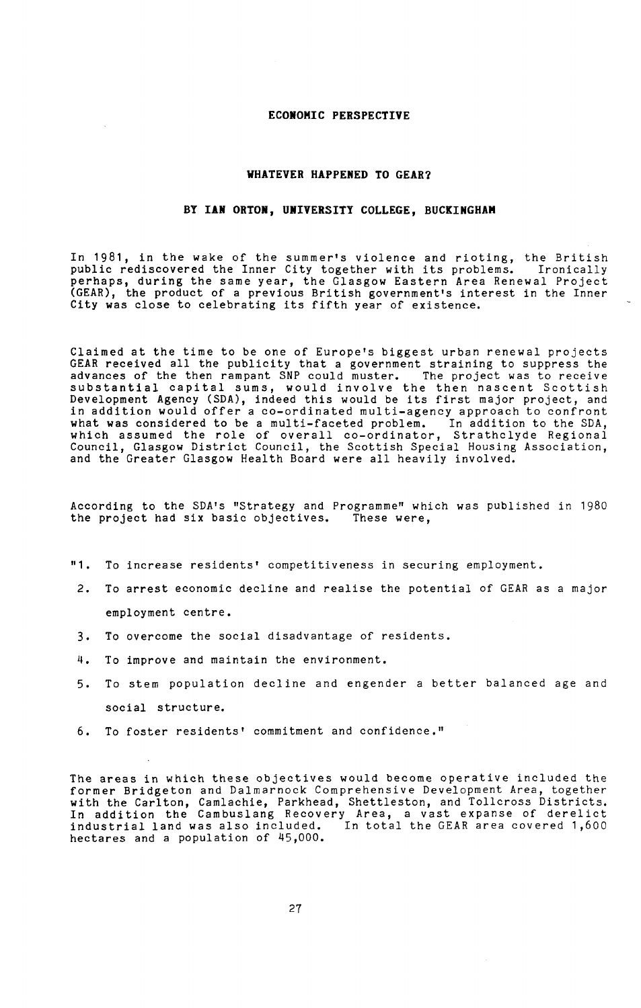## **ECONOMIC PERSPECTIVE**

## **WHATEVER HAPPENED TO GEAR?**

## **BY IAN ORT**O**N, UNIVERSITY COLLEGE, BU**C**KINGHAM**

In 1981, in the wake of the summer's violence and rioting, the British public rediscovered the Inner City together with its problems. Ironically perhaps, during the same year, the Glasgow Eastern Area Renewal Project (GEAR), the product of a previous British government's interest in the Inner City was close to celebrating its fifth year of existence.

Claimed at the time to be one of Europe's biggest urban renewal projects GEAR received all the publicity that a government straining to suppress the advances of the then rampant SNP could muster. The project was to receive substantial capital sums, would involve the then nascent Scottish Development Agency (SDA), indeed this would be its first major project, and in addition would offer a co-ordinated multi-agency approach to confront what was considered to be a multi-faceted problem. In addition to the SDA, which assumed the role of overall co-ordinator, Strathclyde Regional Council, Glasgow District Council, the Scottish Special Housing Association, and the Greater Glasgow Health Board were all heavily involved.

According to the SDA's "Strategy and Programme" which was published in 1980 the project had six basic objectives. These were,

- "1. To increase residents' competitiveness in securing employment.
- 2. To arrest economic decline and realise the potential of GEAR as a major employment centre.
- 3. To overcome the social disadvantage of residents.
- 4. To improve and maintain the environment.
- 5. To stem population decline and engender a better balanced age and social structure.
- 6. To foster residents' commitment and confidence."

The areas in which these objectives would become operative included the former Bridgeton and Dalmarnock Comprehensive Development Area, together with the Carlton, Camlachie, Parkhead, Shettleston, and Tollcross Districts. In addition the Cambuslang Recovery Area, a vast expanse of derelict industrial land was also included. In total the GEAR area covered 1,600 hectares and a population of 45,000.

27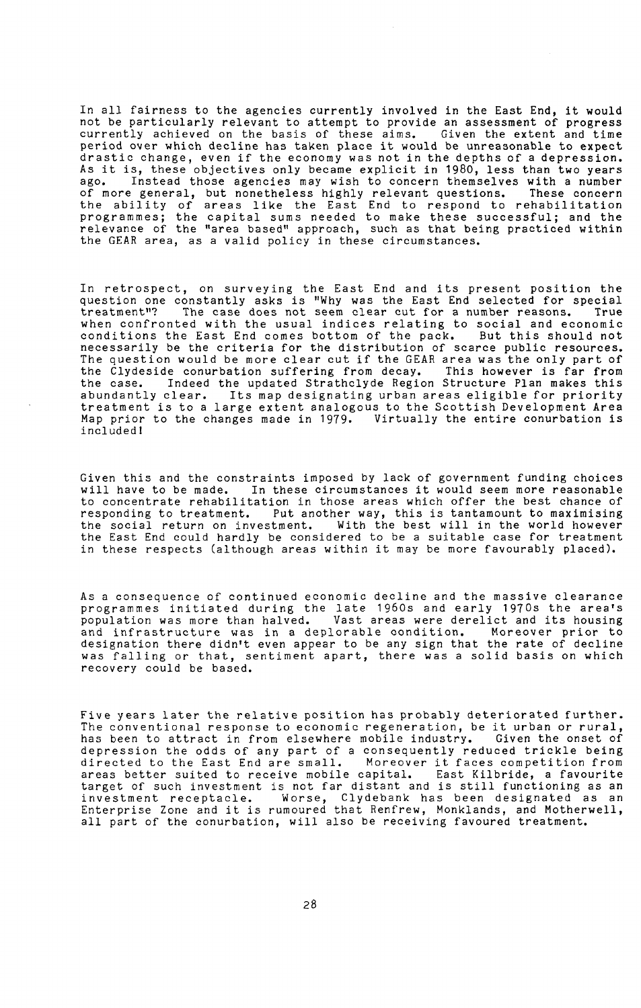In all fairness to the agencies currently involved in the East End, it would not be particularly relevant to attempt to provide an assessment of progress currently achieved on the basis of these aims. Given the extent and time period over which decline has taken place it would be unreasonable to expect drastic change, even if the economy was not in the depths of a depression. As it is, these objectives only became explicit in 1980, less than two years ago. Instead those agencies may wish to concern themselves with a number of more general, but nonetheless highly relevant questions. These concern the ability of areas like the East End to respond to rehabilitation programmes; the capital sums needed to make these successful; and the relevance of the "area based" approach, such as that being practiced within the GEAR area, as a valid policy in these circumstances.

In retrospect, on surveying the East End and its present position the question one constantly asks is "Why was the East End selected for special<br>treatment"? The case does not seem clear cut for a number reasons. True The case does not seem clear cut for a number reasons. True when confronted with the usual indices relating to social and economic conditions the East End comes bottom of the pack. But this should not necessarily be the criteria for the distribution of scarce public resources. The question would be more clear cut if the GEAR area was the only part of the Clydeside conurbation suffering from decay. This however is far from the Clydeside conurbation suffering from decay. the case. Indeed the updated Strathclyde Region Structure Plan makes this abundantly clear. Its map designating urban areas eligible for priority treatment is to a large extent analogous to the Scottish Development Area Map prior to the changes made in 1979. Virtually the entire conurbation is included!

Given this and the constraints imposed by lack of government funding choices will have to be made. In these circumstances it would seem more reasonable to concentrate rehabilitation in those areas which offer the best chance of responding to treatment. Put another way, this is tantamount to maximising the social return on investment. With the best will in the world however the East End could hardly be considered to be a suitable case for treatment in these respects (although areas within it may be more favourably placed).

As a consequence of continued economic decline and the massive clearance programmes initiated during the late 1960s and early 1970s the area's population was more than halved. Vast areas were derelict and its housing<br>and infrastructure was in a deplorable condition. Moreover prior to and infrastructure was in a deplorable condition. designation there didn't even appear to be any sign that the rate of decline was falling or that, sentiment apart, there was a solid basis on which recovery could be based.

Five years later the relative position has probably deteriorated further. The conventional response to economic regeneration, be it urban or rural, has been to attract in from elsewhere mobile industry. Given the onset of has been to attract in from elsewhere mobile industry. Given the onset of<br>depression the odds of any part of a consequently reduced trickle being directed to the East End are small. Moreover it faces competition from areas better suited to receive mobile capital. East Kilbride, a favourite target of such investment is not far distant and is still functioning as an investment receptacle. Worse, Clydebank has been designated as an Enterprise Zone and it is rumoured that Renfrew, Monklands, and Motherwell, all part of the conurbation, will also be receiving favoured treatment.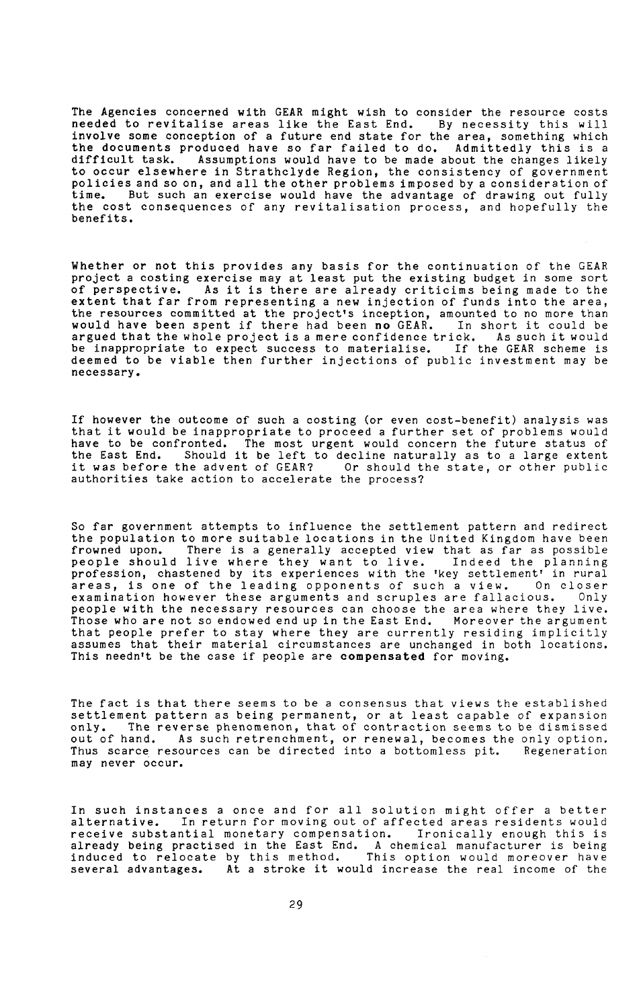The Agencies concerned with GEAR might wish to consider the resource costs needed to revitalise areas like the East End. By necessity this will involve some conception of a future end state for the area, something which the documents produced have so far failed to do. Admittedly this is a difficult task. Assumptions would have to be made about the changes likely to occur elsewhere in Strathclyde Region, the consistency of government policies and so on, and all the other problems imposed by a consideration of time. But such an exercise would have the advantage of drawing out fully the cost consequences of any revitalisation process, and hopefully the benefits.

Whether or not this provides any basis for the continuation of the GEAR project a costing exercise may at least put the existing budget in some sort<br>of perspective. As it is there are already criticims being made to the As it is there are already criticims being made to the extent that far from representing a new injection of funds into the area, the resources committed at the project's inception, amounted to no more than would have been spent if there had been no GEAR. In short it could be argued that the whole project is a mere confidence trick. As such it would be inappropriate to expect success to materialise. If the GEAR scheme is deemed to be viable then further injections of public investment may be necessary.

If however the outcome of such a costing (or even cost-benefit) analysis was that it would be inappropriate to proceed a further set of problems would have to be confronted. The most urgent would concern the future status of the East End. Should it be left to decline naturally as to a large extent it was before the advent of GEAR? Or should the state, or other public authorities take action to accelerate the process?

So far government attempts to influence the settlement pattern and redirect the population to more suitable locations in the United Kingdom have been frowned upon. There is a generally accepted view that as far as possible people should live where they want to live. Indeed the planning profession, chastened by its experiences with the 'key settlement' in rural areas, is one of the leading opponents of such a view. On closer examination however these arguments and scruples are fallacious. Only people with the necessary resources can choose the area where they live. Those who are not so endowed end up in the East End. Moreover the argument that people prefer to stay where they are currently residing implicitly assumes that their material circumstances are unchanged in both locations. This needn't be the case if people are compensated for moving.

The fact is that there seems to be a consensus that views the established  ${\tt set}$  tement pattern as being permanent, or at least capable of expansion only. The reverse phenomenon, that of contraction seems to be dismissed out of hand. As such retrenchment, or renewal, becomes the only option. Thus scarce resources can be directed into a bottomless pit. Regeneration may never occur.

In such instances a once and for all solution might offer a better alternative. In return for moving out of affected areas residents would receive substantial monetary compensation. Ironically enough this is already being practised in the East End. A chemical manufacturer is being induced to relocate by this method. This option would moreover have several advantages. At a stroke it would increase the real income of the